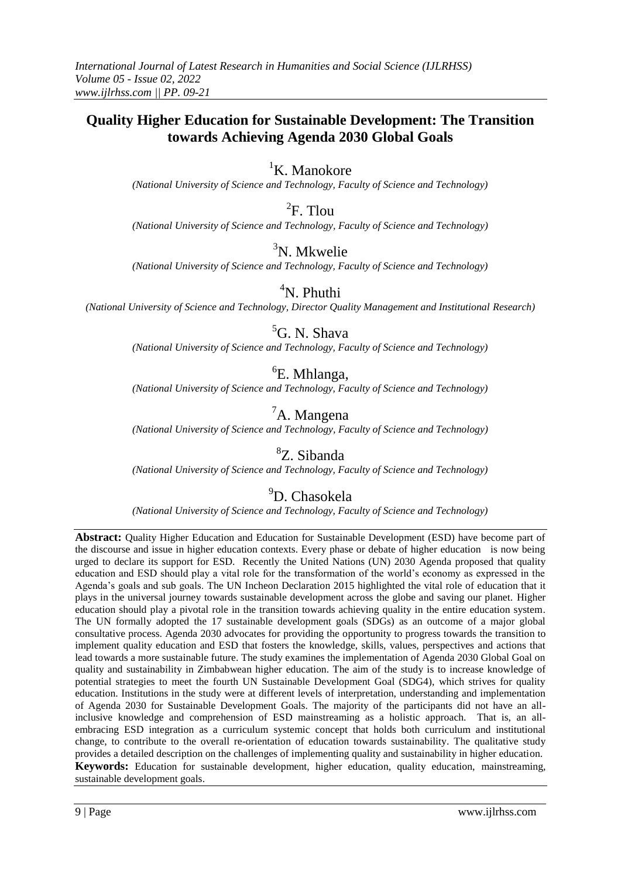## **Quality Higher Education for Sustainable Development: The Transition towards Achieving Agenda 2030 Global Goals**

## <sup>1</sup>K. Manokore

*(National University of Science and Technology, Faculty of Science and Technology)*

 ${}^{2}$ F. Tlou

*(National University of Science and Technology, Faculty of Science and Technology)*

## ${}^{3}$ N. Mkwelie

*(National University of Science and Technology, Faculty of Science and Technology)*

 $\rm ^4N$ . Phuthi

*(National University of Science and Technology, Director Quality Management and Institutional Research)*

## <sup>5</sup>G. N. Shava

*(National University of Science and Technology, Faculty of Science and Technology)*

# 6 E. Mhlanga,

*(National University of Science and Technology, Faculty of Science and Technology)*

# ${}^{7}$ A. Mangena

*(National University of Science and Technology, Faculty of Science and Technology)*

# <sup>8</sup>Z. Sibanda

*(National University of Science and Technology, Faculty of Science and Technology)*

## <sup>9</sup>D. Chasokela

*(National University of Science and Technology, Faculty of Science and Technology)*

**Abstract:** Quality Higher Education and Education for Sustainable Development (ESD) have become part of the discourse and issue in higher education contexts. Every phase or debate of higher education is now being urged to declare its support for ESD. Recently the United Nations (UN) 2030 Agenda proposed that quality education and ESD should play a vital role for the transformation of the world"s economy as expressed in the Agenda"s goals and sub goals. The UN Incheon Declaration 2015 highlighted the vital role of education that it plays in the universal journey towards sustainable development across the globe and saving our planet. Higher education should play a pivotal role in the transition towards achieving quality in the entire education system. The UN formally adopted the 17 sustainable development goals (SDGs) as an outcome of a major global consultative process. Agenda 2030 advocates for providing the opportunity to progress towards the transition to implement quality education and ESD that fosters the knowledge, skills, values, perspectives and actions that lead towards a more sustainable future. The study examines the implementation of Agenda 2030 Global Goal on quality and sustainability in Zimbabwean higher education. The aim of the study is to increase knowledge of potential strategies to meet the fourth UN Sustainable Development Goal (SDG4), which strives for quality education. Institutions in the study were at different levels of interpretation, understanding and implementation of Agenda 2030 for Sustainable Development Goals. The majority of the participants did not have an allinclusive knowledge and comprehension of ESD mainstreaming as a holistic approach. That is, an allembracing ESD integration as a curriculum systemic concept that holds both curriculum and institutional change, to contribute to the overall re-orientation of education towards sustainability. The qualitative study provides a detailed description on the challenges of implementing quality and sustainability in higher education. **Keywords:** Education for sustainable development, higher education, quality education, mainstreaming, sustainable development goals.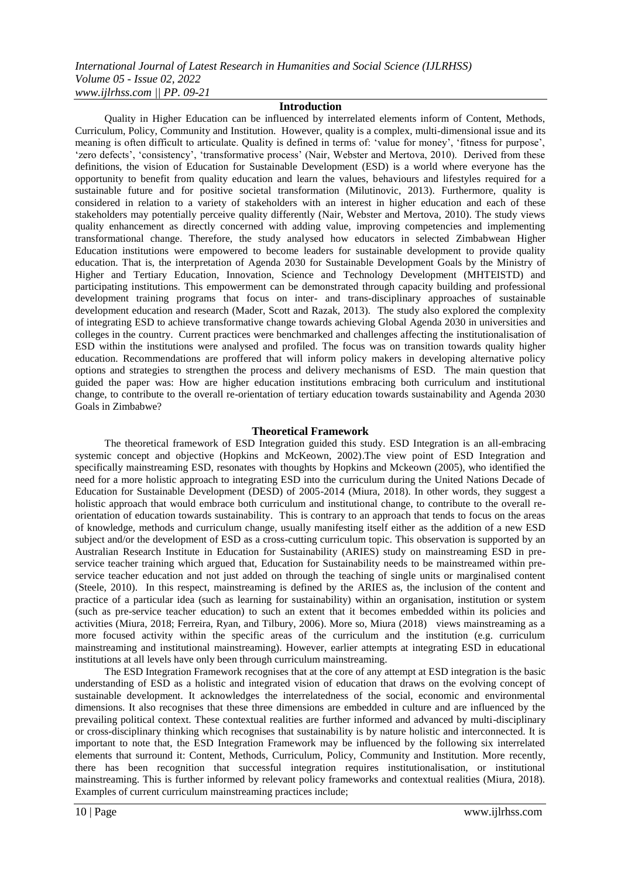#### **Introduction**

Quality in Higher Education can be influenced by interrelated elements inform of Content, Methods, Curriculum, Policy, Community and Institution. However, quality is a complex, multi-dimensional issue and its meaning is often difficult to articulate. Quality is defined in terms of: 'value for money', 'fitness for purpose', 'zero defects', 'consistency', 'transformative process' (Nair, Webster and Mertova, 2010). Derived from these definitions, the vision of Education for Sustainable Development (ESD) is a world where everyone has the opportunity to benefit from quality education and learn the values, behaviours and lifestyles required for a sustainable future and for positive societal transformation (Milutinovic, 2013). Furthermore, quality is considered in relation to a variety of stakeholders with an interest in higher education and each of these stakeholders may potentially perceive quality differently (Nair, Webster and Mertova, 2010). The study views quality enhancement as directly concerned with adding value, improving competencies and implementing transformational change. Therefore, the study analysed how educators in selected Zimbabwean Higher Education institutions were empowered to become leaders for sustainable development to provide quality education. That is, the interpretation of Agenda 2030 for Sustainable Development Goals by the Ministry of Higher and Tertiary Education, Innovation, Science and Technology Development (MHTEISTD) and participating institutions. This empowerment can be demonstrated through capacity building and professional development training programs that focus on inter- and trans-disciplinary approaches of sustainable development education and research (Mader, Scott and Razak, 2013). The study also explored the complexity of integrating ESD to achieve transformative change towards achieving Global Agenda 2030 in universities and colleges in the country. Current practices were benchmarked and challenges affecting the institutionalisation of ESD within the institutions were analysed and profiled. The focus was on transition towards quality higher education. Recommendations are proffered that will inform policy makers in developing alternative policy options and strategies to strengthen the process and delivery mechanisms of ESD. The main question that guided the paper was: How are higher education institutions embracing both curriculum and institutional change, to contribute to the overall re-orientation of tertiary education towards sustainability and Agenda 2030 Goals in Zimbabwe?

### **Theoretical Framework**

The theoretical framework of ESD Integration guided this study. ESD Integration is an all-embracing systemic concept and objective (Hopkins and McKeown, 2002).The view point of ESD Integration and specifically mainstreaming ESD, resonates with thoughts by Hopkins and Mckeown (2005), who identified the need for a more holistic approach to integrating ESD into the curriculum during the United Nations Decade of Education for Sustainable Development (DESD) of 2005-2014 (Miura, 2018). In other words, they suggest a holistic approach that would embrace both curriculum and institutional change, to contribute to the overall reorientation of education towards sustainability. This is contrary to an approach that tends to focus on the areas of knowledge, methods and curriculum change, usually manifesting itself either as the addition of a new ESD subject and/or the development of ESD as a cross-cutting curriculum topic. This observation is supported by an Australian Research Institute in Education for Sustainability (ARIES) study on mainstreaming ESD in preservice teacher training which argued that, Education for Sustainability needs to be mainstreamed within preservice teacher education and not just added on through the teaching of single units or marginalised content (Steele, 2010). In this respect, mainstreaming is defined by the ARIES as, the inclusion of the content and practice of a particular idea (such as learning for sustainability) within an organisation, institution or system (such as pre-service teacher education) to such an extent that it becomes embedded within its policies and activities (Miura, 2018; Ferreira, Ryan, and Tilbury, 2006). More so, Miura (2018) views mainstreaming as a more focused activity within the specific areas of the curriculum and the institution (e.g. curriculum mainstreaming and institutional mainstreaming). However, earlier attempts at integrating ESD in educational institutions at all levels have only been through curriculum mainstreaming.

The ESD Integration Framework recognises that at the core of any attempt at ESD integration is the basic understanding of ESD as a holistic and integrated vision of education that draws on the evolving concept of sustainable development. It acknowledges the interrelatedness of the social, economic and environmental dimensions. It also recognises that these three dimensions are embedded in culture and are influenced by the prevailing political context. These contextual realities are further informed and advanced by multi-disciplinary or cross-disciplinary thinking which recognises that sustainability is by nature holistic and interconnected. It is important to note that, the ESD Integration Framework may be influenced by the following six interrelated elements that surround it: Content, Methods, Curriculum, Policy, Community and Institution. More recently, there has been recognition that successful integration requires institutionalisation, or institutional mainstreaming. This is further informed by relevant policy frameworks and contextual realities (Miura, 2018). Examples of current curriculum mainstreaming practices include;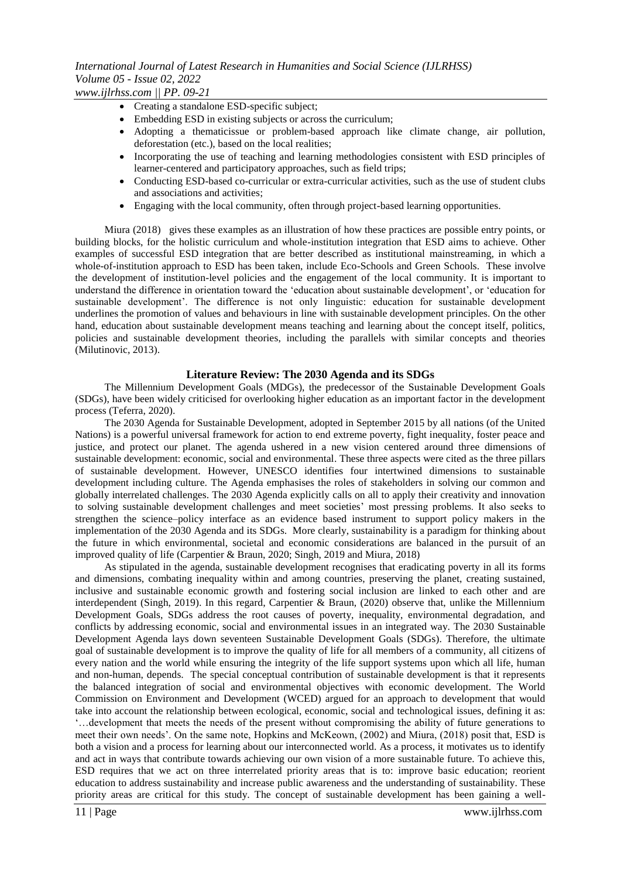*www.ijlrhss.com || PP. 09-21*

- Creating a standalone ESD-specific subject;
- Embedding ESD in existing subjects or across the curriculum;
- Adopting a thematicissue or problem-based approach like climate change, air pollution, deforestation (etc.), based on the local realities;
- Incorporating the use of teaching and learning methodologies consistent with ESD principles of learner-centered and participatory approaches, such as field trips;
- Conducting ESD-based co-curricular or extra-curricular activities, such as the use of student clubs and associations and activities;
- Engaging with the local community, often through project-based learning opportunities.

Miura (2018) gives these examples as an illustration of how these practices are possible entry points, or building blocks, for the holistic curriculum and whole-institution integration that ESD aims to achieve. Other examples of successful ESD integration that are better described as institutional mainstreaming, in which a whole-of-institution approach to ESD has been taken, include Eco-Schools and Green Schools. These involve the development of institution-level policies and the engagement of the local community. It is important to understand the difference in orientation toward the 'education about sustainable development', or 'education for sustainable development'. The difference is not only linguistic: education for sustainable development underlines the promotion of values and behaviours in line with sustainable development principles. On the other hand, education about sustainable development means teaching and learning about the concept itself, politics, policies and sustainable development theories, including the parallels with similar concepts and theories (Milutinovic, 2013).

## **Literature Review: The 2030 Agenda and its SDGs**

The Millennium Development Goals (MDGs), the predecessor of the Sustainable Development Goals (SDGs), have been widely criticised for overlooking higher education as an important factor in the development process [\(Teferra,](https://www.universityworldnews.com/fullsearch.php?mode=search&writer=Damtew+Teferra) 2020).

The 2030 Agenda for Sustainable Development, adopted in September 2015 by all nations (of the United Nations) is a powerful universal framework for action to end extreme poverty, fight inequality, foster peace and justice, and protect our planet. The agenda ushered in a new vision centered around three dimensions of sustainable development: economic, social and environmental. These three aspects were cited as the three pillars of sustainable development. However, UNESCO identifies four intertwined dimensions to sustainable development including culture. The Agenda emphasises the roles of stakeholders in solving our common and globally interrelated challenges. The 2030 Agenda explicitly calls on all to apply their creativity and innovation to solving sustainable development challenges and meet societies' most pressing problems. It also seeks to strengthen the science–policy interface as an evidence based instrument to support policy makers in the implementation of the 2030 Agenda and its SDGs. More clearly, sustainability is a paradigm for thinking about the future in which environmental, societal and economic considerations are balanced in the pursuit of an improved quality of life (Carpentier & Braun, 2020; Singh, 2019 and Miura, 2018)

As stipulated in the agenda, sustainable development recognises that eradicating poverty in all its forms and dimensions, combating inequality within and among countries, preserving the planet, creating sustained, inclusive and sustainable economic growth and fostering social inclusion are linked to each other and are interdependent (Singh, 2019). In this regard, Carpentier & Braun, (2020) observe that, unlike the Millennium Development Goals, SDGs address the root causes of poverty, inequality, environmental degradation, and conflicts by addressing economic, social and environmental issues in an integrated way. The 2030 Sustainable Development Agenda lays down seventeen Sustainable Development Goals (SDGs). Therefore, the ultimate goal of sustainable development is to improve the quality of life for all members of a community, all citizens of every nation and the world while ensuring the integrity of the life support systems upon which all life, human and non-human, depends. The special conceptual contribution of sustainable development is that it represents the balanced integration of social and environmental objectives with economic development. The World Commission on Environment and Development (WCED) argued for an approach to development that would take into account the relationship between ecological, economic, social and technological issues, defining it as: "…development that meets the needs of the present without compromising the ability of future generations to meet their own needs". On the same note, Hopkins and McKeown, (2002) and Miura, (2018) posit that, ESD is both a vision and a process for learning about our interconnected world. As a process, it motivates us to identify and act in ways that contribute towards achieving our own vision of a more sustainable future. To achieve this, ESD requires that we act on three interrelated priority areas that is to: improve basic education; reorient education to address sustainability and increase public awareness and the understanding of sustainability. These priority areas are critical for this study. The concept of sustainable development has been gaining a well-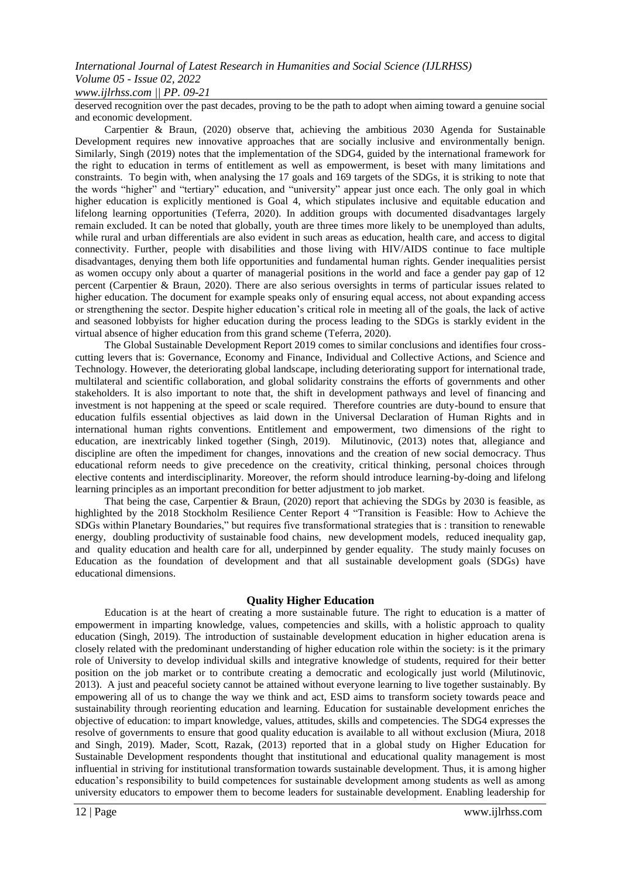## *www.ijlrhss.com || PP. 09-21*

deserved recognition over the past decades, proving to be the path to adopt when aiming toward a genuine social and economic development.

Carpentier & Braun, (2020) observe that, achieving the ambitious 2030 Agenda for Sustainable Development requires new innovative approaches that are socially inclusive and environmentally benign. Similarly, Singh (2019) notes that the implementation of the SDG4, guided by the international framework for the right to education in terms of entitlement as well as empowerment, is beset with many limitations and constraints. To begin with, when analysing the 17 goals and 169 targets of the SDGs, it is striking to note that the words "higher" and "tertiary" education, and "university" appear just once each. The only goal in which higher education is explicitly mentioned is Goal 4, which stipulates inclusive and equitable education and lifelong learning opportunities [\(Teferra,](https://www.universityworldnews.com/fullsearch.php?mode=search&writer=Damtew+Teferra) 2020). In addition groups with documented disadvantages largely remain excluded. It can be noted that globally, youth are three times more likely to be unemployed than adults, while rural and urban differentials are also evident in such areas as education, health care, and access to digital connectivity. Further, people with disabilities and those living with HIV/AIDS continue to face multiple disadvantages, denying them both life opportunities and fundamental human rights. Gender inequalities persist as women occupy only about a quarter of managerial positions in the world and face a gender pay gap of 12 percent (Carpentier & Braun, 2020). There are also serious oversights in terms of particular issues related to higher education. The document for example speaks only of ensuring equal access, not about expanding access or strengthening the sector. Despite higher education"s critical role in meeting all of the goals, the lack of active and seasoned lobbyists for higher education during the process leading to the SDGs is starkly evident in the virtual absence of higher education from this grand scheme [\(Teferra,](https://www.universityworldnews.com/fullsearch.php?mode=search&writer=Damtew+Teferra) 2020).

The Global Sustainable Development Report 2019 comes to similar conclusions and identifies four crosscutting levers that is: Governance, Economy and Finance, Individual and Collective Actions, and Science and Technology. However, the deteriorating global landscape, including deteriorating support for international trade, multilateral and scientific collaboration, and global solidarity constrains the efforts of governments and other stakeholders. It is also important to note that, the shift in development pathways and level of financing and investment is not happening at the speed or scale required. Therefore countries are duty-bound to ensure that education fulfils essential objectives as laid down in the Universal Declaration of Human Rights and in international human rights conventions. Entitlement and empowerment, two dimensions of the right to education, are inextricably linked together (Singh, 2019). Milutinovic, (2013) notes that, allegiance and discipline are often the impediment for changes, innovations and the creation of new social democracy. Thus educational reform needs to give precedence on the creativity, critical thinking, personal choices through elective contents and interdisciplinarity. Moreover, the reform should introduce learning-by-doing and lifelong learning principles as an important precondition for better adjustment to job market.

That being the case, Carpentier & Braun, (2020) report that achieving the SDGs by 2030 is feasible, as highlighted by the 2018 Stockholm Resilience Center Report 4 "Transition is Feasible: How to Achieve the SDGs within Planetary Boundaries," but requires five transformational strategies that is : transition to renewable energy, doubling productivity of sustainable food chains, new development models, reduced inequality gap, and quality education and health care for all, underpinned by gender equality. The study mainly focuses on Education as the foundation of development and that all sustainable development goals (SDGs) have educational dimensions.

### **Quality Higher Education**

Education is at the heart of creating a more sustainable future. The right to education is a matter of empowerment in imparting knowledge, values, competencies and skills, with a holistic approach to quality education (Singh, 2019). The introduction of sustainable development education in higher education arena is closely related with the predominant understanding of higher education role within the society: is it the primary role of University to develop individual skills and integrative knowledge of students, required for their better position on the job market or to contribute creating a democratic and ecologically just world (Milutinovic, 2013). A just and peaceful society cannot be attained without everyone learning to live together sustainably. By empowering all of us to change the way we think and act, ESD aims to transform society towards peace and sustainability through reorienting education and learning. Education for sustainable development enriches the objective of education: to impart knowledge, values, attitudes, skills and competencies. The SDG4 expresses the resolve of governments to ensure that good quality education is available to all without exclusion (Miura, 2018 and Singh, 2019). Mader, Scott, Razak, (2013) reported that in a global study on Higher Education for Sustainable Development respondents thought that institutional and educational quality management is most influential in striving for institutional transformation towards sustainable development. Thus, it is among higher education"s responsibility to build competences for sustainable development among students as well as among university educators to empower them to become leaders for sustainable development. Enabling leadership for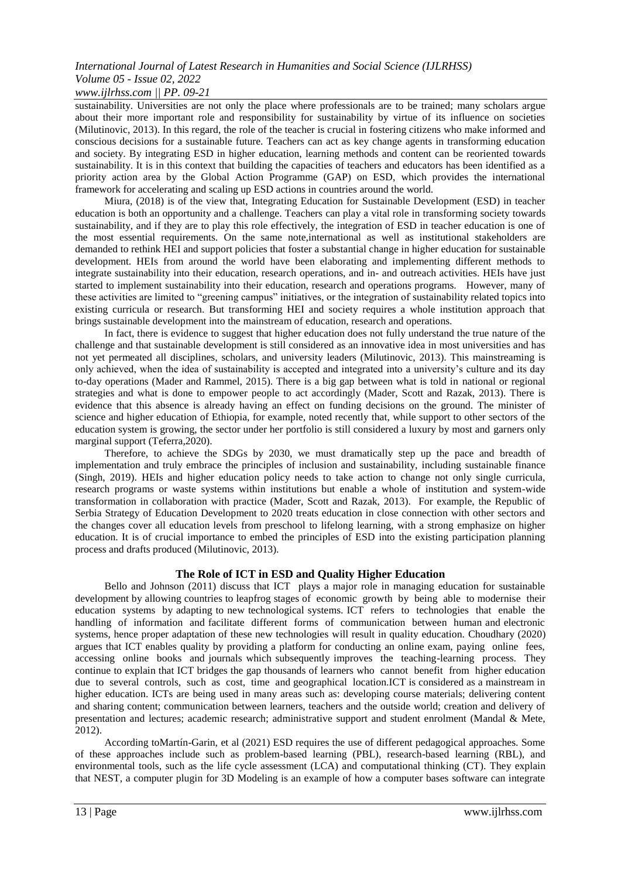## *www.ijlrhss.com || PP. 09-21*

sustainability. Universities are not only the place where professionals are to be trained; many scholars argue about their more important role and responsibility for sustainability by virtue of its influence on societies (Milutinovic, 2013). In this regard, the role of the teacher is crucial in fostering citizens who make informed and conscious decisions for a sustainable future. Teachers can act as key change agents in transforming education and society. By integrating ESD in higher education, learning methods and content can be reoriented towards sustainability. It is in this context that building the capacities of teachers and educators has been identified as a priority action area by the Global Action Programme (GAP) on ESD, which provides the international framework for accelerating and scaling up ESD actions in countries around the world.

Miura, (2018) is of the view that, Integrating Education for Sustainable Development (ESD) in teacher education is both an opportunity and a challenge. Teachers can play a vital role in transforming society towards sustainability, and if they are to play this role effectively, the integration of ESD in teacher education is one of the most essential requirements. On the same note,international as well as institutional stakeholders are demanded to rethink HEI and support policies that foster a substantial change in higher education for sustainable development. HEIs from around the world have been elaborating and implementing different methods to integrate sustainability into their education, research operations, and in- and outreach activities. HEIs have just started to implement sustainability into their education, research and operations programs. However, many of these activities are limited to "greening campus" initiatives, or the integration of sustainability related topics into existing curricula or research. But transforming HEI and society requires a whole institution approach that brings sustainable development into the mainstream of education, research and operations.

In fact, there is evidence to suggest that higher education does not fully understand the true nature of the challenge and that sustainable development is still considered as an innovative idea in most universities and has not yet permeated all disciplines, scholars, and university leaders (Milutinovic, 2013). This mainstreaming is only achieved, when the idea of sustainability is accepted and integrated into a university"s culture and its day to-day operations (Mader and Rammel, 2015). There is a big gap between what is told in national or regional strategies and what is done to empower people to act accordingly (Mader, Scott and Razak, 2013). There is evidence that this absence is already having an effect on funding decisions on the ground. The minister of science and higher education of Ethiopia, for example, noted recently that, while support to other sectors of the education system is growing, the sector under her portfolio is still considered a luxury by most and garners only marginal support [\(Teferra,2](https://www.universityworldnews.com/fullsearch.php?mode=search&writer=Damtew+Teferra)020).

Therefore, to achieve the SDGs by 2030, we must dramatically step up the pace and breadth of implementation and truly embrace the principles of inclusion and sustainability, including sustainable finance (Singh, 2019). HEIs and higher education policy needs to take action to change not only single curricula, research programs or waste systems within institutions but enable a whole of institution and system-wide transformation in collaboration with practice (Mader, Scott and Razak, 2013). For example, the Republic of Serbia Strategy of Education Development to 2020 treats education in close connection with other sectors and the changes cover all education levels from preschool to lifelong learning, with a strong emphasize on higher education. It is of crucial importance to embed the principles of ESD into the existing participation planning process and drafts produced (Milutinovic, 2013).

## **The Role of ICT in ESD and Quality Higher Education**

Bello and Johnson (2011) discuss that ICT plays a major role in managing education for sustainable development by allowing countries to leapfrog stages of economic growth by being able to modernise their education systems by adapting to new technological systems. ICT refers to technologies that enable the handling of information and facilitate different forms of communication between human and electronic systems, hence proper adaptation of these new technologies will result in quality education. Choudhary (2020) argues that ICT enables quality by providing a platform for conducting an online exam, paying online fees, accessing online books and journals which subsequently improves the teaching-learning process. They continue to explain that ICT bridges the gap thousands of learners who cannot benefit from higher education due to several controls, such as cost, time and geographical location.ICT is considered as a mainstream in higher education. ICTs are being used in many areas such as: developing course materials; delivering content and sharing content; communication between learners, teachers and the outside world; creation and delivery of presentation and lectures; academic research; administrative support and student enrolment (Mandal & Mete, 2012).

According toMartín-Garin, et al (2021) ESD requires the use of different pedagogical approaches. Some of these approaches include such as problem-based learning (PBL), research-based learning (RBL), and environmental tools, such as the life cycle assessment (LCA) and computational thinking (CT). They explain that NEST, a computer plugin for 3D Modeling is an example of how a computer bases software can integrate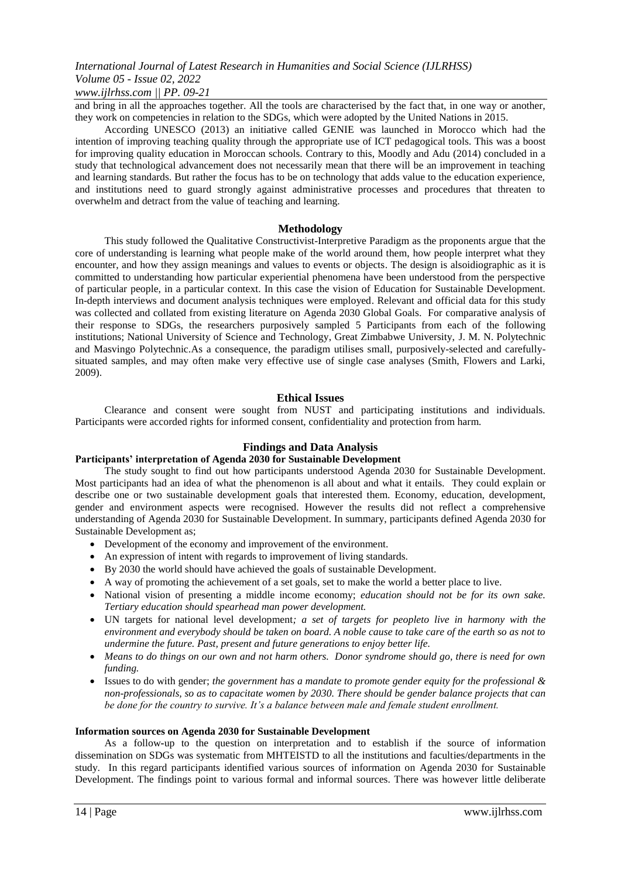### *www.ijlrhss.com || PP. 09-21*

and bring in all the approaches together. All the tools are characterised by the fact that, in one way or another, they work on competencies in relation to the SDGs, which were adopted by the United Nations in 2015.

According UNESCO (2013) an initiative called GENIE was launched in Morocco which had the intention of improving teaching quality through the appropriate use of ICT pedagogical tools. This was a boost for improving quality education in Moroccan schools. Contrary to this, Moodly and Adu (2014) concluded in a study that technological advancement does not necessarily mean that there will be an improvement in teaching and learning standards. But rather the focus has to be on technology that adds value to the education experience, and institutions need to guard strongly against administrative processes and procedures that threaten to overwhelm and detract from the value of teaching and learning.

### **Methodology**

This study followed the Qualitative Constructivist-Interpretive Paradigm as the proponents argue that the core of understanding is learning what people make of the world around them, how people interpret what they encounter, and how they assign meanings and values to events or objects. The design is alsoidiographic as it is committed to understanding how particular experiential phenomena have been understood from the perspective of particular people, in a particular context. In this case the vision of Education for Sustainable Development. In-depth interviews and document analysis techniques were employed. Relevant and official data for this study was collected and collated from existing literature on Agenda 2030 Global Goals. For comparative analysis of their response to SDGs, the researchers purposively sampled 5 Participants from each of the following institutions; National University of Science and Technology, Great Zimbabwe University, J. M. N. Polytechnic and Masvingo Polytechnic.As a consequence, the paradigm utilises small, purposively-selected and carefullysituated samples, and may often make very effective use of single case analyses (Smith, Flowers and Larki, 2009).

#### **Ethical Issues**

Clearance and consent were sought from NUST and participating institutions and individuals. Participants were accorded rights for informed consent, confidentiality and protection from harm.

#### **Findings and Data Analysis**

#### **Participants' interpretation of Agenda 2030 for Sustainable Development**

The study sought to find out how participants understood Agenda 2030 for Sustainable Development. Most participants had an idea of what the phenomenon is all about and what it entails. They could explain or describe one or two sustainable development goals that interested them. Economy, education, development, gender and environment aspects were recognised. However the results did not reflect a comprehensive understanding of Agenda 2030 for Sustainable Development. In summary, participants defined Agenda 2030 for Sustainable Development as;

- Development of the economy and improvement of the environment.
- An expression of intent with regards to improvement of living standards.
- By 2030 the world should have achieved the goals of sustainable Development.
- A way of promoting the achievement of a set goals, set to make the world a better place to live.
- National vision of presenting a middle income economy; *education should not be for its own sake. Tertiary education should spearhead man power development.*
- UN targets for national level development*; a set of targets for peopleto live in harmony with the environment and everybody should be taken on board. A noble cause to take care of the earth so as not to undermine the future. Past, present and future generations to enjoy better life.*
- *Means to do things on our own and not harm others. Donor syndrome should go, there is need for own funding.*
- Issues to do with gender; *the government has a mandate to promote gender equity for the professional & non-professionals, so as to capacitate women by 2030. There should be gender balance projects that can be done for the country to survive. It's a balance between male and female student enrollment.*

#### **Information sources on Agenda 2030 for Sustainable Development**

As a follow**-**up to the question on interpretation and to establish if the source of information dissemination on SDGs was systematic from MHTEISTD to all the institutions and faculties/departments in the study. In this regard participants identified various sources of information on Agenda 2030 for Sustainable Development. The findings point to various formal and informal sources. There was however little deliberate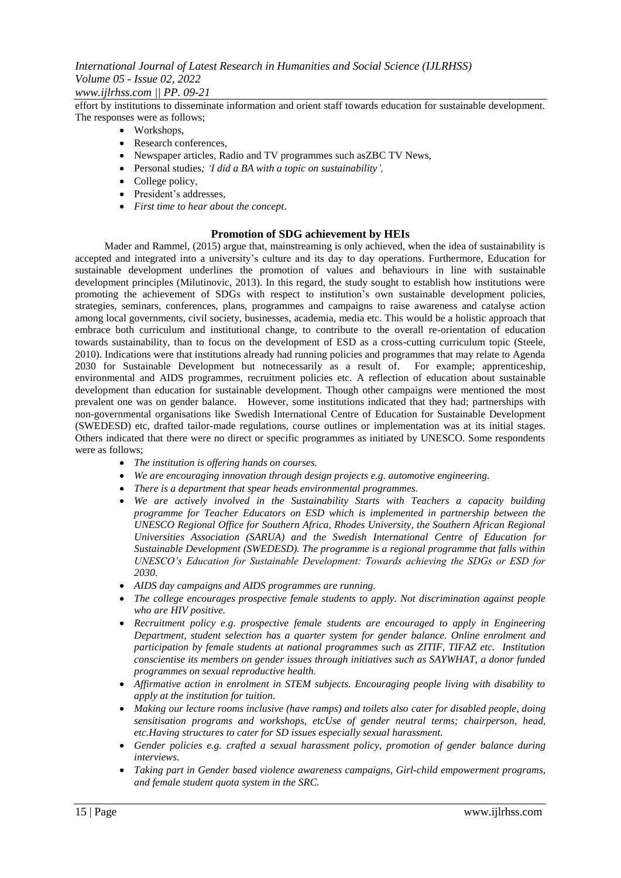## *www.ijlrhss.com || PP. 09-21*

effort by institutions to disseminate information and orient staff towards education for sustainable development. The responses were as follows;

- Workshops,
- Research conferences,
- Newspaper articles, Radio and TV programmes such asZBC TV News,
- Personal studies*; 'I did a BA with a topic on sustainability',*
- College policy,
- President's addresses,
- *First time to hear about the concept*.

## **Promotion of SDG achievement by HEIs**

Mader and Rammel, (2015) argue that, mainstreaming is only achieved, when the idea of sustainability is accepted and integrated into a university"s culture and its day to day operations. Furthermore, Education for sustainable development underlines the promotion of values and behaviours in line with sustainable development principles (Milutinovic, 2013). In this regard, the study sought to establish how institutions were promoting the achievement of SDGs with respect to institution"s own sustainable development policies, strategies, seminars, conferences, plans, programmes and campaigns to raise awareness and catalyse action among local governments, civil society, businesses, academia, media etc. This would be a holistic approach that embrace both curriculum and institutional change, to contribute to the overall re-orientation of education towards sustainability, than to focus on the development of ESD as a cross-cutting curriculum topic (Steele, 2010). Indications were that institutions already had running policies and programmes that may relate to Agenda 2030 for Sustainable Development but notnecessarily as a result of. For example; apprenticeship, environmental and AIDS programmes, recruitment policies etc. A reflection of education about sustainable development than education for sustainable development. Though other campaigns were mentioned the most prevalent one was on gender balance. However, some institutions indicated that they had; partnerships with non-governmental organisations like Swedish International Centre of Education for Sustainable Development (SWEDESD) etc, drafted tailor-made regulations, course outlines or implementation was at its initial stages. Others indicated that there were no direct or specific programmes as initiated by UNESCO. Some respondents were as follows;

- *The institution is offering hands on courses.*
- *We are encouraging innovation through design projects e.g. automotive engineering.*
- *There is a department that spear heads environmental programmes.*
- *We are actively involved in the Sustainability Starts with Teachers a capacity building programme for Teacher Educators on ESD which is implemented in partnership between the UNESCO Regional Office for Southern Africa, Rhodes University, the Southern African Regional Universities Association (SARUA) and the Swedish International Centre of Education for Sustainable Development (SWEDESD). The programme is a regional programme that falls within UNESCO's Education for Sustainable Development: Towards achieving the SDGs or ESD for 2030.*
- *AIDS day campaigns and AIDS programmes are running.*
- *The college encourages prospective female students to apply. Not discrimination against people who are HIV positive.*
- *Recruitment policy e.g. prospective female students are encouraged to apply in Engineering Department, student selection has a quarter system for gender balance. Online enrolment and participation by female students at national programmes such as ZITIF, TIFAZ etc. Institution conscientise its members on gender issues through initiatives such as SAYWHAT, a donor funded programmes on sexual reproductive health.*
- *Affirmative action in enrolment in STEM subjects. Encouraging people living with disability to apply at the institution for tuition.*
- *Making our lecture rooms inclusive (have ramps) and toilets also cater for disabled people, doing sensitisation programs and workshops, etcUse of gender neutral terms; chairperson, head, etc.Having structures to cater for SD issues especially sexual harassment.*
- *Gender policies e.g. crafted a sexual harassment policy, promotion of gender balance during interviews.*
- *Taking part in Gender based violence awareness campaigns, Girl-child empowerment programs, and female student quota system in the SRC.*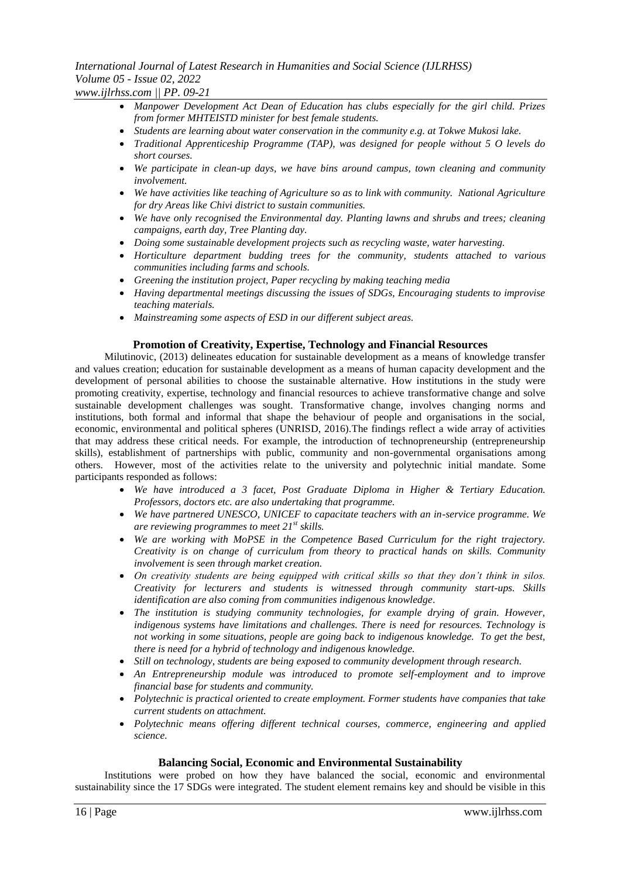### *International Journal of Latest Research in Humanities and Social Science (IJLRHSS) Volume 05 - Issue 02, 2022 www.ijlrhss.com || PP. 09-21*

- *Manpower Development Act Dean of Education has clubs especially for the girl child. Prizes from former MHTEISTD minister for best female students.*
- *Students are learning about water conservation in the community e.g. at Tokwe Mukosi lake.*
- *Traditional Apprenticeship Programme (TAP), was designed for people without 5 O levels do short courses.*
- *We participate in clean-up days, we have bins around campus, town cleaning and community involvement.*
- *We have activities like teaching of Agriculture so as to link with community. National Agriculture for dry Areas like Chivi district to sustain communities.*
- *We have only recognised the Environmental day. Planting lawns and shrubs and trees; cleaning campaigns, earth day, Tree Planting day.*
- *Doing some sustainable development projects such as recycling waste, water harvesting.*
- *Horticulture department budding trees for the community, students attached to various communities including farms and schools.*
- *Greening the institution project, Paper recycling by making teaching media*
- *Having departmental meetings discussing the issues of SDGs, Encouraging students to improvise teaching materials.*
- *Mainstreaming some aspects of ESD in our different subject areas.*

### **Promotion of Creativity, Expertise, Technology and Financial Resources**

Milutinovic, (2013) delineates education for sustainable development as a means of knowledge transfer and values creation; education for sustainable development as a means of human capacity development and the development of personal abilities to choose the sustainable alternative. How institutions in the study were promoting creativity, expertise, technology and financial resources to achieve transformative change and solve sustainable development challenges was sought. Transformative change, involves changing norms and institutions, both formal and informal that shape the behaviour of people and organisations in the social, economic, environmental and political spheres (UNRISD, 2016).The findings reflect a wide array of activities that may address these critical needs. For example, the introduction of technopreneurship (entrepreneurship skills), establishment of partnerships with public, community and non-governmental organisations among others. However, most of the activities relate to the university and polytechnic initial mandate. Some participants responded as follows:

- *We have introduced a 3 facet, Post Graduate Diploma in Higher & Tertiary Education. Professors, doctors etc. are also undertaking that programme.*
- *We have partnered UNESCO, UNICEF to capacitate teachers with an in-service programme. We are reviewing programmes to meet 21st skills.*
- *We are working with MoPSE in the Competence Based Curriculum for the right trajectory. Creativity is on change of curriculum from theory to practical hands on skills. Community involvement is seen through market creation.*
- *On creativity students are being equipped with critical skills so that they don't think in silos. Creativity for lecturers and students is witnessed through community start-ups. Skills identification are also coming from communities indigenous knowledge.*
- *The institution is studying community technologies, for example drying of grain. However, indigenous systems have limitations and challenges. There is need for resources. Technology is not working in some situations, people are going back to indigenous knowledge. To get the best, there is need for a hybrid of technology and indigenous knowledge.*
- *Still on technology, students are being exposed to community development through research.*
- *An Entrepreneurship module was introduced to promote self-employment and to improve financial base for students and community.*
- *Polytechnic is practical oriented to create employment. Former students have companies that take current students on attachment.*
- *Polytechnic means offering different technical courses, commerce, engineering and applied science.*

#### **Balancing Social, Economic and Environmental Sustainability**

Institutions were probed on how they have balanced the social, economic and environmental sustainability since the 17 SDGs were integrated. The student element remains key and should be visible in this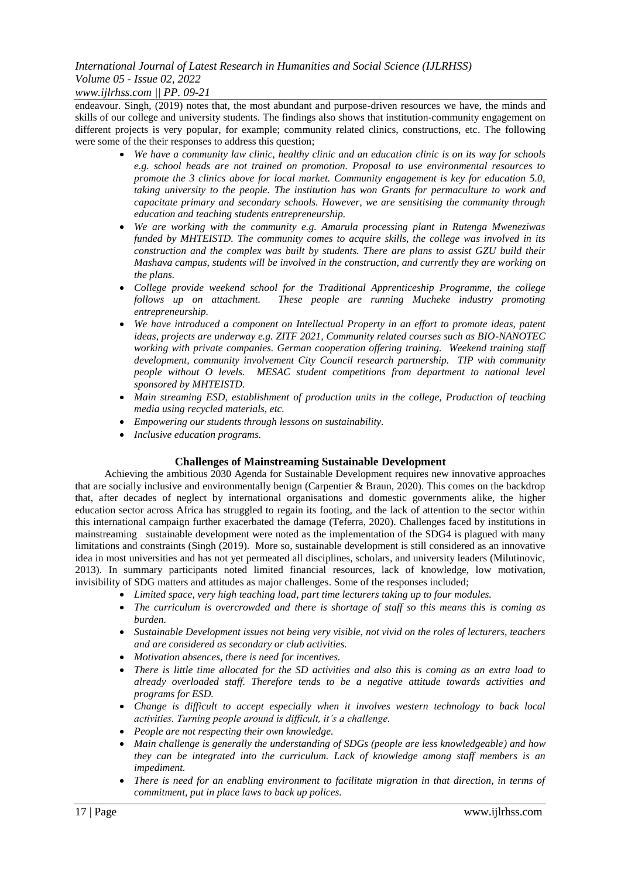## *www.ijlrhss.com || PP. 09-21*

endeavour. Singh, (2019) notes that, the most abundant and purpose-driven resources we have, the minds and skills of our college and university students. The findings also shows that institution-community engagement on different projects is very popular, for example; community related clinics, constructions, etc. The following were some of the their responses to address this question;

- *We have a community law clinic, healthy clinic and an education clinic is on its way for schools e.g. school heads are not trained on promotion. Proposal to use environmental resources to promote the 3 clinics above for local market. Community engagement is key for education 5.0, taking university to the people. The institution has won Grants for permaculture to work and capacitate primary and secondary schools. However, we are sensitising the community through education and teaching students entrepreneurship.*
- *We are working with the community e.g. Amarula processing plant in Rutenga Mweneziwas funded by MHTEISTD. The community comes to acquire skills, the college was involved in its construction and the complex was built by students. There are plans to assist GZU build their Mashava campus, students will be involved in the construction, and currently they are working on the plans.*
- *College provide weekend school for the Traditional Apprenticeship Programme, the college follows up on attachment. These people are running Mucheke industry promoting entrepreneurship.*
- *We have introduced a component on Intellectual Property in an effort to promote ideas, patent ideas, projects are underway e.g. ZITF 2021, Community related courses such as BIO-NANOTEC working with private companies. German cooperation offering training. Weekend training staff development, community involvement City Council research partnership. TIP with community people without O levels. MESAC student competitions from department to national level sponsored by MHTEISTD.*
- *Main streaming ESD, establishment of production units in the college, Production of teaching media using recycled materials, etc.*
- *Empowering our students through lessons on sustainability.*
- *Inclusive education programs.*

## **Challenges of Mainstreaming Sustainable Development**

Achieving the ambitious 2030 Agenda for Sustainable Development requires new innovative approaches that are socially inclusive and environmentally benign (Carpentier & Braun, 2020). This comes on the backdrop that, after decades of neglect by international organisations and domestic governments alike, the higher education sector across Africa has struggled to regain its footing, and the lack of attention to the sector within this international campaign further exacerbated the damage [\(Teferra,](https://www.universityworldnews.com/fullsearch.php?mode=search&writer=Damtew+Teferra) 2020). Challenges faced by institutions in mainstreaming sustainable development were noted as the implementation of the SDG4 is plagued with many limitations and constraints (Singh (2019). More so, sustainable development is still considered as an innovative idea in most universities and has not yet permeated all disciplines, scholars, and university leaders (Milutinovic, 2013). In summary participants noted limited financial resources, lack of knowledge, low motivation, invisibility of SDG matters and attitudes as major challenges. Some of the responses included;

- Limited space, very high teaching load, part time lecturers taking up to four modules.
- *The curriculum is overcrowded and there is shortage of staff so this means this is coming as burden.*
- *Sustainable Development issues not being very visible, not vivid on the roles of lecturers, teachers and are considered as secondary or club activities.*
- *Motivation absences, there is need for incentives.*
- *There is little time allocated for the SD activities and also this is coming as an extra load to already overloaded staff. Therefore tends to be a negative attitude towards activities and programs for ESD.*
- *Change is difficult to accept especially when it involves western technology to back local activities. Turning people around is difficult, it's a challenge.*
- *People are not respecting their own knowledge.*
- *Main challenge is generally the understanding of SDGs (people are less knowledgeable) and how they can be integrated into the curriculum. Lack of knowledge among staff members is an impediment.*
- *There is need for an enabling environment to facilitate migration in that direction, in terms of commitment, put in place laws to back up polices.*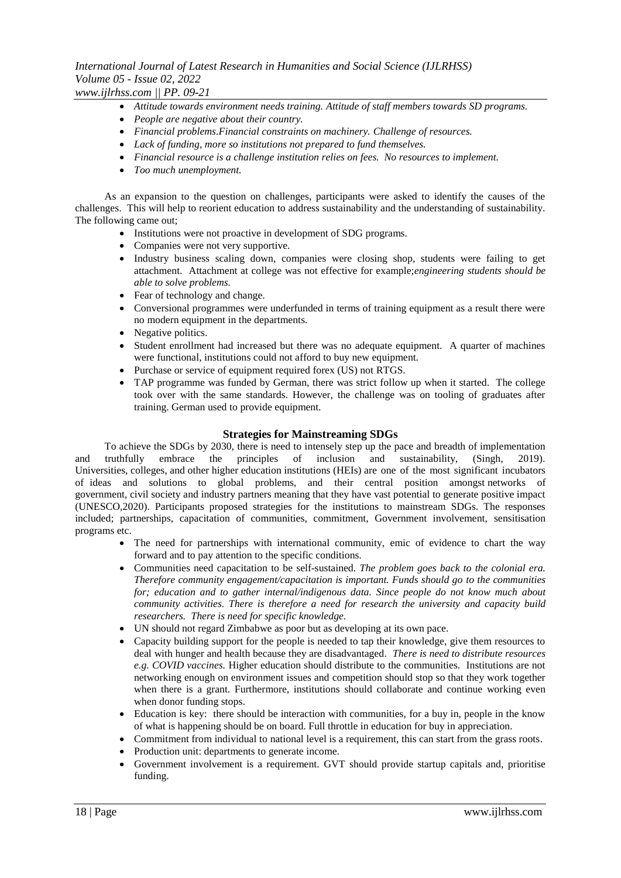*www.ijlrhss.com || PP. 09-21*

- *Attitude towards environment needs training. Attitude of staff members towards SD programs.*
- *People are negative about their country.*
- *Financial problems.Financial constraints on machinery. Challenge of resources.*
- *Lack of funding, more so institutions not prepared to fund themselves.*
- *Financial resource is a challenge institution relies on fees. No resources to implement.*
- *Too much unemployment.*

As an expansion to the question on challenges, participants were asked to identify the causes of the challenges. This will help to reorient education to address sustainability and the understanding of sustainability. The following came out;

- Institutions were not proactive in development of SDG programs.
- Companies were not very supportive.
- Industry business scaling down, companies were closing shop, students were failing to get attachment. Attachment at college was not effective for example;*engineering students should be able to solve problems.*
- Fear of technology and change.
- Conversional programmes were underfunded in terms of training equipment as a result there were no modern equipment in the departments.
- Negative politics.
- Student enrollment had increased but there was no adequate equipment. A quarter of machines were functional, institutions could not afford to buy new equipment.
- Purchase or service of equipment required forex (US) not RTGS.
- TAP programme was funded by German, there was strict follow up when it started. The college took over with the same standards. However, the challenge was on tooling of graduates after training. German used to provide equipment.

#### **Strategies for Mainstreaming SDGs**

To achieve the SDGs by 2030, there is need to intensely step up the pace and breadth of implementation and truthfully embrace the principles of inclusion and sustainability, (Singh, 2019). Universities, colleges, and other higher education institutions (HEIs) are one of the most significant incubators of ideas and solutions to global problems, and their central position amongst networks of government, civil society and industry partners meaning that they have vast potential to generate positive impact (UNESCO,2020). Participants proposed strategies for the institutions to mainstream SDGs. The responses included; partnerships, capacitation of communities, commitment, Government involvement, sensitisation programs etc.

- The need for partnerships with international community, emic of evidence to chart the way forward and to pay attention to the specific conditions.
- Communities need capacitation to be self-sustained. *The problem goes back to the colonial era. Therefore community engagement/capacitation is important. Funds should go to the communities for; education and to gather internal/indigenous data. Since people do not know much about community activities. There is therefore a need for research the university and capacity build researchers. There is need for specific knowledge.*
- UN should not regard Zimbabwe as poor but as developing at its own pace.
- Capacity building support for the people is needed to tap their knowledge, give them resources to deal with hunger and health because they are disadvantaged. *There is need to distribute resources e.g. COVID vaccines.* Higher education should distribute to the communities. Institutions are not networking enough on environment issues and competition should stop so that they work together when there is a grant. Furthermore, institutions should collaborate and continue working even when donor funding stops.
- Education is key: there should be interaction with communities, for a buy in, people in the know of what is happening should be on board. Full throttle in education for buy in appreciation.
- Commitment from individual to national level is a requirement, this can start from the grass roots.
- Production unit: departments to generate income.
- Government involvement is a requirement. GVT should provide startup capitals and, prioritise funding.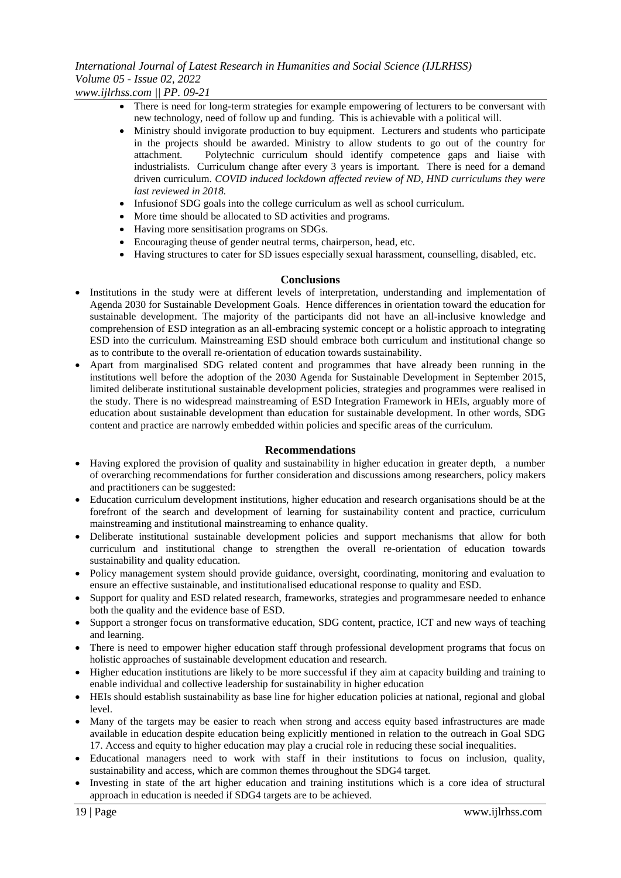## *International Journal of Latest Research in Humanities and Social Science (IJLRHSS) Volume 05 - Issue 02, 2022 www.ijlrhss.com || PP. 09-21*

- There is need for long-term strategies for example empowering of lecturers to be conversant with new technology, need of follow up and funding. This is achievable with a political will.
- Ministry should invigorate production to buy equipment. Lecturers and students who participate in the projects should be awarded. Ministry to allow students to go out of the country for attachment. Polytechnic curriculum should identify competence gaps and liaise with industrialists. Curriculum change after every 3 years is important. There is need for a demand driven curriculum. *COVID induced lockdown affected review of ND, HND curriculums they were last reviewed in 2018.*
- Infusionof SDG goals into the college curriculum as well as school curriculum.
- More time should be allocated to SD activities and programs.
- Having more sensitisation programs on SDGs.
- Encouraging theuse of gender neutral terms, chairperson, head, etc.
- Having structures to cater for SD issues especially sexual harassment, counselling, disabled, etc.

### **Conclusions**

- Institutions in the study were at different levels of interpretation, understanding and implementation of Agenda 2030 for Sustainable Development Goals. Hence differences in orientation toward the education for sustainable development. The majority of the participants did not have an all-inclusive knowledge and comprehension of ESD integration as an all-embracing systemic concept or a holistic approach to integrating ESD into the curriculum. Mainstreaming ESD should embrace both curriculum and institutional change so as to contribute to the overall re-orientation of education towards sustainability.
- Apart from marginalised SDG related content and programmes that have already been running in the institutions well before the adoption of the 2030 Agenda for Sustainable Development in September 2015, limited deliberate institutional sustainable development policies, strategies and programmes were realised in the study. There is no widespread mainstreaming of ESD Integration Framework in HEIs, arguably more of education about sustainable development than education for sustainable development. In other words, SDG content and practice are narrowly embedded within policies and specific areas of the curriculum.

#### **Recommendations**

- Having explored the provision of quality and sustainability in higher education in greater depth, a number of overarching recommendations for further consideration and discussions among researchers, policy makers and practitioners can be suggested:
- Education curriculum development institutions, higher education and research organisations should be at the forefront of the search and development of learning for sustainability content and practice, curriculum mainstreaming and institutional mainstreaming to enhance quality.
- Deliberate institutional sustainable development policies and support mechanisms that allow for both curriculum and institutional change to strengthen the overall re-orientation of education towards sustainability and quality education.
- Policy management system should provide guidance, oversight, coordinating, monitoring and evaluation to ensure an effective sustainable, and institutionalised educational response to quality and ESD.
- Support for quality and ESD related research, frameworks, strategies and programmesare needed to enhance both the quality and the evidence base of ESD.
- Support a stronger focus on transformative education, SDG content, practice, ICT and new ways of teaching and learning.
- There is need to empower higher education staff through professional development programs that focus on holistic approaches of sustainable development education and research.
- Higher education institutions are likely to be more successful if they aim at capacity building and training to enable individual and collective leadership for sustainability in higher education
- HEIs should establish sustainability as base line for higher education policies at national, regional and global level.
- Many of the targets may be easier to reach when strong and access equity based infrastructures are made available in education despite education being explicitly mentioned in relation to the outreach in Goal SDG 17. Access and equity to higher education may play a crucial role in reducing these social inequalities.
- Educational managers need to work with staff in their institutions to focus on inclusion, quality, sustainability and access, which are common themes throughout the SDG4 target.
- Investing in state of the art higher education and training institutions which is a core idea of structural approach in education is needed if SDG4 targets are to be achieved.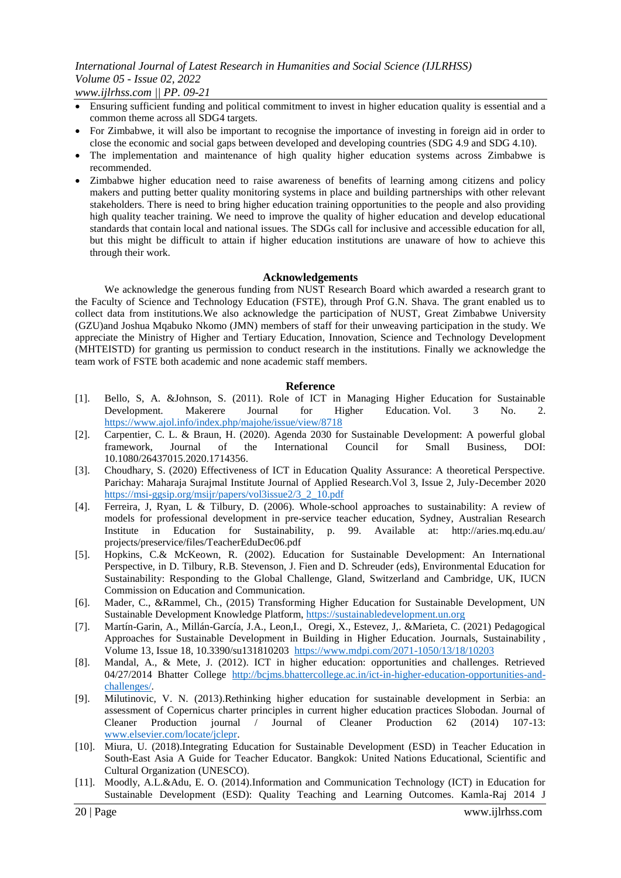*www.ijlrhss.com || PP. 09-21*

- Ensuring sufficient funding and political commitment to invest in higher education quality is essential and a common theme across all SDG4 targets.
- For Zimbabwe, it will also be important to recognise the importance of investing in foreign aid in order to close the economic and social gaps between developed and developing countries (SDG 4.9 and SDG 4.10).
- The implementation and maintenance of high quality higher education systems across Zimbabwe is recommended.
- Zimbabwe higher education need to raise awareness of benefits of learning among citizens and policy makers and putting better quality monitoring systems in place and building partnerships with other relevant stakeholders. There is need to bring higher education training opportunities to the people and also providing high quality teacher training. We need to improve the quality of higher education and develop educational standards that contain local and national issues. The SDGs call for inclusive and accessible education for all, but this might be difficult to attain if higher education institutions are unaware of how to achieve this through their work.

#### **Acknowledgements**

We acknowledge the generous funding from NUST Research Board which awarded a research grant to the Faculty of Science and Technology Education (FSTE), through Prof G.N. Shava. The grant enabled us to collect data from institutions.We also acknowledge the participation of NUST, Great Zimbabwe University (GZU)and Joshua Mqabuko Nkomo (JMN) members of staff for their unweaving participation in the study. We appreciate the Ministry of Higher and Tertiary Education, Innovation, Science and Technology Development (MHTEISTD) for granting us permission to conduct research in the institutions. Finally we acknowledge the team work of FSTE both academic and none academic staff members.

#### **Reference**

- [1]. Bello, S, A. &Johnson, S. (2011). Role of ICT in Managing Higher Education for Sustainable Development. Makerere Journal for Higher Education. [Vol. 3 No. 2.](file:///C:\Users\USER\Downloads\Vol.%203%20No.%202)  [https://www.ajol.info/index.php/majohe/issue/view/8718](file:///C:\Users\USER\Downloads\Vol.%203%20No.%202)
- [2]. Carpentier, C. L. & Braun, H. (2020). Agenda 2030 for Sustainable Development: A powerful global framework, Journal of the International Council for Small Business, DOI: 10.1080/26437015.2020.1714356.
- [3]. Choudhary, S. (2020) Effectiveness of ICT in Education Quality Assurance: A theoretical Perspective. Parichay: Maharaja Surajmal Institute Journal of Applied Research.Vol 3, Issue 2, July-December 2020 [https://msi-ggsip.org/msijr/papers/vol3issue2/3\\_2\\_10.pdf](https://msi-ggsip.org/msijr/papers/vol3issue2/3_2_10.pdf)
- [4]. Ferreira, J, Ryan, L & Tilbury, D. (2006). Whole-school approaches to sustainability: A review of models for professional development in pre-service teacher education, Sydney, Australian Research Institute in Education for Sustainability, p. 99. Available at: http://aries.mq.edu.au/ projects/preservice/files/TeacherEduDec06.pdf
- [5]. Hopkins, C.& McKeown, R. (2002). Education for Sustainable Development: An International Perspective, in D. Tilbury, R.B. Stevenson, J. Fien and D. Schreuder (eds), Environmental Education for Sustainability: Responding to the Global Challenge, Gland, Switzerland and Cambridge, UK, IUCN Commission on Education and Communication.
- [6]. Mader, C., &Rammel, Ch., (2015) Transforming Higher Education for Sustainable Development, UN Sustainable Development Knowledge Platform, [https://sustainabledevelopment.un.org](https://sustainabledevelopment.un.org/)
- [7]. Martín-Garin, A., Millán-García, J.A., Leon,I., Oregi, X., Estevez, J,. &Marieta, C. (2021) Pedagogical Approaches for Sustainable Development in Building in Higher Education. [Journals,](https://www.mdpi.com/about/journals) [Sustainability](https://www.mdpi.com/journal/sustainability) , [Volume 13,](https://www.mdpi.com/2071-1050/13) [Issue 18,](https://www.mdpi.com/2071-1050/13/18) [10.3390/su131810203](https://www.mdpi.com/2071-1050/13/18/10203) <https://www.mdpi.com/2071-1050/13/18/10203>
- [8]. Mandal, A., & Mete, J. (2012). ICT in higher education: opportunities and challenges. Retrieved 04/27/2014 Bhatter College [http://bcjms.bhattercollege.ac.in/ict-in-higher-education-opportunities-and](http://bcjms.bhattercollege.ac.in/ict-in-higher-education-opportunities-and-challenges/)[challenges/.](http://bcjms.bhattercollege.ac.in/ict-in-higher-education-opportunities-and-challenges/)
- [9]. Milutinovic, V. N. (2013).Rethinking higher education for sustainable development in Serbia: an assessment of Copernicus charter principles in current higher education practices Slobodan. Journal of Cleaner Production journal / Journal of Cleaner Production 62 (2014) 107-13: [www.elsevier.com/locate/jclepr.](http://www.elsevier.com/locate/jclepr)
- [10]. Miura, U. (2018).Integrating Education for Sustainable Development (ESD) in Teacher Education in South-East Asia A Guide for Teacher Educator. Bangkok: United Nations Educational, Scientific and Cultural Organization (UNESCO).
- [11]. Moodly, A.L.&Adu, E. O. (2014).Information and Communication Technology (ICT) in Education for Sustainable Development (ESD): Quality Teaching and Learning Outcomes. Kamla-Raj 2014 J